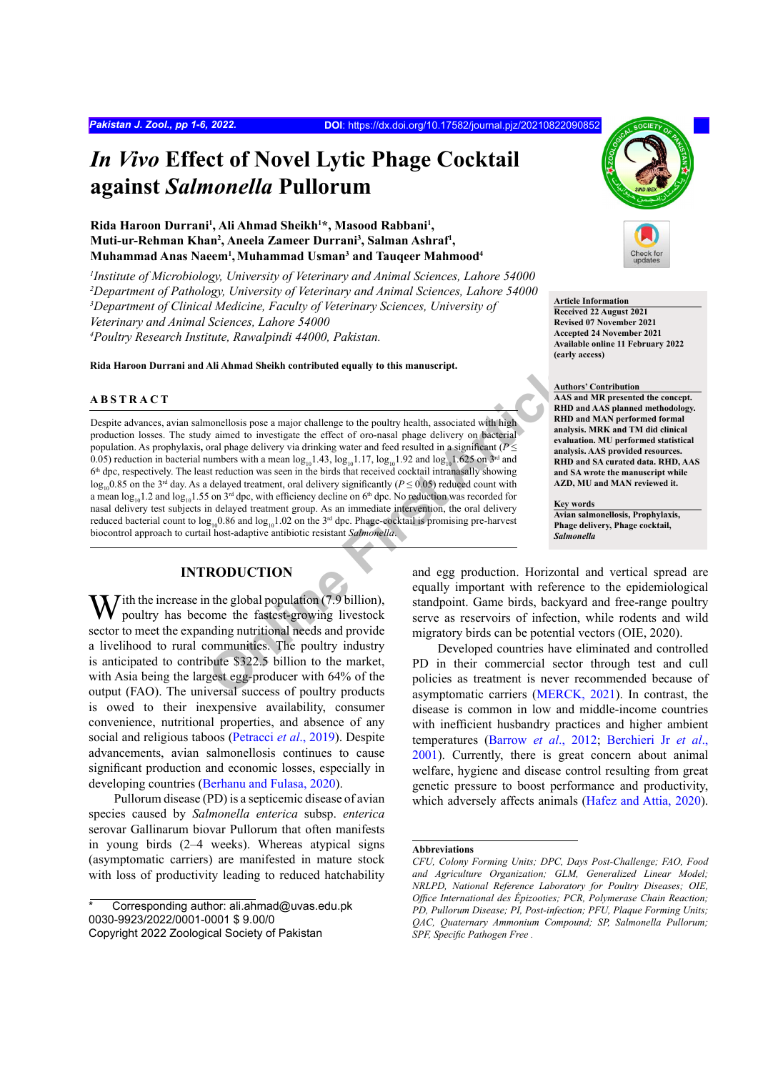# *In Vivo* **Effect of Novel Lytic Phage Cocktail against** *Salmonella* **Pullorum**

## Rida Haroon Durrani<sup>1</sup>, Ali Ahmad Sheikh<sup>1\*</sup>, Masood Rabbani<sup>1</sup>, Muti-ur-Rehman Khan<sup>2</sup>, Aneela Zameer Durrani<sup>3</sup>, Salman Ashraf<sup>1</sup>, **Muhammad Anas Naeem1 ,Muhammad Usman3 and Tauqeer Mahmood4**

 *Institute of Microbiology, University of Veterinary and Animal Sciences, Lahore 54000 Department of Pathology, University of Veterinary and Animal Sciences, Lahore 54000 Department of Clinical Medicine, Faculty of Veterinary Sciences, University of Veterinary and Animal Sciences, Lahore 54000 Poultry Research Institute, Rawalpindi 44000, Pakistan.*

**Rida Haroon Durrani and Ali Ahmad Sheikh contributed equally to this manuscript.**

## **ABSTRACT**

**Ali Ahmad Sheikh contributed equally to this manuscript.**<br>
Manuscript<br>
monellosis pose a major challenge to the poultry health, associated with high<br>
y aimed to investigate the effect of oro-nasal phage delivery via drin Despite advances, avian salmonellosis pose a major challenge to the poultry health, associated with high production losses. The study aimed to investigate the effect of oro-nasal phage delivery on bacterial population. As prophylaxis**,** oral phage delivery via drinking water and feed resulted in a significant (*P* ≤ 0.05) reduction in bacterial numbers with a mean  $log_{10}1.43$ ,  $log_{10}1.17$ ,  $log_{10}1.92$  and  $log_{10}1.625$  on  $3<sup>rd</sup>$  and  $6<sup>th</sup>$  dpc, respectively. The least reduction was seen in the birds that received cocktail intranasally showing  $\log_{10}0.85$  on the 3<sup>rd</sup> day. As a delayed treatment, oral delivery significantly (*P*  $\leq$  0.05) reduced count with a mean  $\log_{10}1.2$  and  $\log_{10}1.55$  on  $3^{rd}$  dpc, with efficiency decline on 6<sup>th</sup> dpc. No reduction was recorded for nasal delivery test subjects in delayed treatment group. As an immediate intervention, the oral delivery reduced bacterial count to  $log_{10}0.86$  and  $log_{10}1.02$  on the 3<sup>rd</sup> dpc. Phage-cocktail is promising pre-harvest biocontrol approach to curtail host-adaptive antibiotic resistant *Salmonella*.

## **INTRODUCTION**

 $\mathbf{W}$  ith the increase in the global population (7.9 billion), poultry has become the fastest-growing livestock sector to meet the expanding nutritional needs and provide a livelihood to rural communities. The poultry industry is anticipated to contribute \$322.5 billion to the market, with Asia being the largest egg-producer with 64% of the output (FAO). The universal success of poultry products is owed to their inexpensive availability, consumer convenience, nutritional properties, and absence of any social and religious taboos (Petracci *et al*., 2019). Despite advancements, avian salmonellosis continues to cause significant production and economic losses, especially in developing countries [\(Berhanu and Fulasa](#page-4-0), 2020).

Pullorum disease (PD) is a septicemic disease of avian species caused by *Salmonella enterica* subsp. *enterica*  serovar Gallinarum biovar Pullorum that often manifests in young birds (2–4 weeks). Whereas atypical signs (asymptomatic carriers) are manifested in mature stock with loss of productivity leading to reduced hatchability



**Article Information Received 22 August 2021** 

#### **Revised 07 November 2021 Accepted 24 November 2021 Available online 11 February 2022 (early access)**

#### **Authors' Contribution**

**AAS and MR presented the concept. RHD and AAS planned methodology. RHD and MAN performed formal analysis. MRK and TM did clinical evaluation. MU performed statistical analysis. AAS provided resources. RHD and SA curated data. RHD, AAS and SA wrote the manuscript while AZD, MU and MAN reviewed it.**

**Key words**

**Avian salmonellosis, Prophylaxis, Phage delivery, Phage cocktail,** *Salmonella*

and egg production. Horizontal and vertical spread are equally important with reference to the epidemiological standpoint. Game birds, backyard and free-range poultry serve as reservoirs of infection, while rodents and wild migratory birds can be potential vectors (OIE, 2020).

Developed countries have eliminated and controlled PD in their commercial sector through test and cull policies as treatment is never recommended because of asymptomatic carriers ([MERCK, 2021\)](#page-5-0). In contrast, the disease is common in low and middle-income countries with inefficient husbandry practices and higher ambient temperatures ([Barrow](#page-4-1) *et al*., 2012; [Berchieri Jr](#page-4-2) *et al*., [2001](#page-4-2)). Currently, there is great concern about animal welfare, hygiene and disease control resulting from great genetic pressure to boost performance and productivity, which adversely affects animals ([Hafez and Attia, 2020\)](#page-5-1).

#### **Abbreviations**

Corresponding author: ali.ahmad@uvas.edu.pk 0030-9923/2022/0001-0001 \$ 9.00/0 Copyright 2022 Zoological Society of Pakistan

*CFU, Colony Forming Units; DPC, Days Post-Challenge; FAO, Food and Agriculture Organization; GLM, Generalized Linear Model; NRLPD, National Reference Laboratory for Poultry Diseases; OIE, Office International des Épizooties; PCR, Polymerase Chain Reaction; PD, Pullorum Disease; PI, Post-infection; PFU, Plaque Forming Units; QAC, Quaternary Ammonium Compound; SP, Salmonella Pullorum; SPF, Specific Pathogen Free .*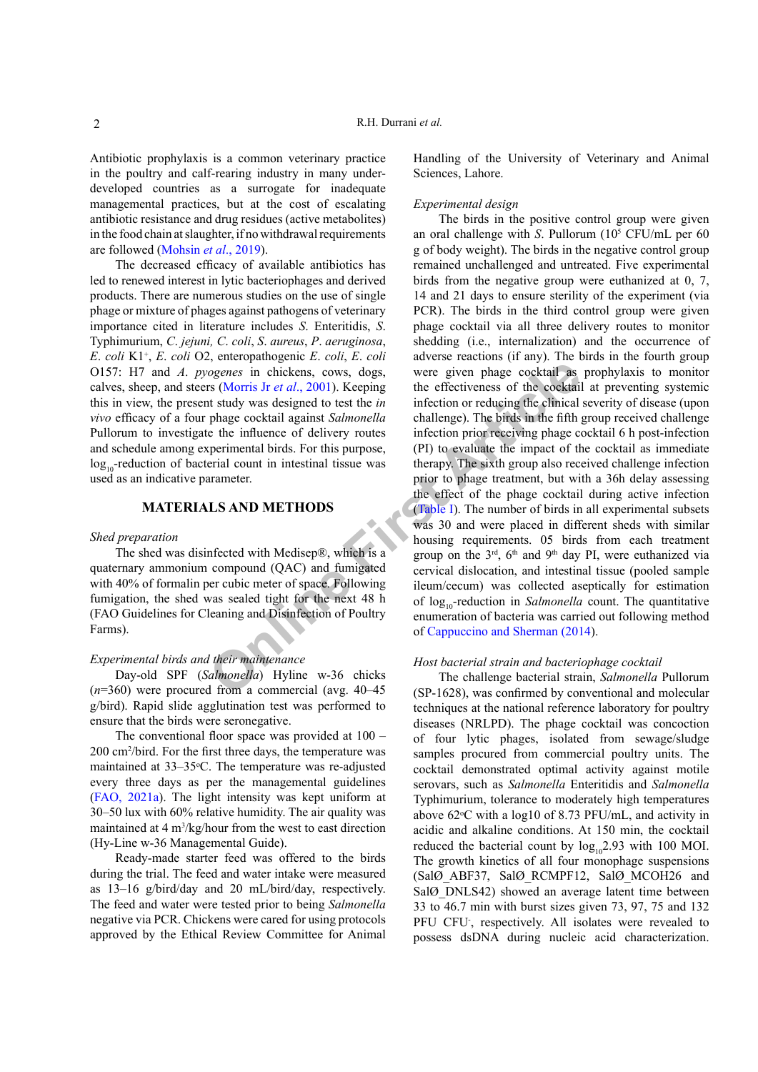Antibiotic prophylaxis is a common veterinary practice in the poultry and calf-rearing industry in many underdeveloped countries as a surrogate for inadequate managemental practices, but at the cost of escalating antibiotic resistance and drug residues (active metabolites) in the food chain at slaughter, if no withdrawal requirements are followed ([Mohsin](#page-5-2) *et al*., 2019).

The decreased efficacy of available antibiotics has led to renewed interest in lytic bacteriophages and derived products. There are numerous studies on the use of single phage or mixture of phages against pathogens of veterinary importance cited in literature includes *S*. Enteritidis, *S*. Typhimurium, *C*. *jejuni, C*. *coli*, *S*. *aureus*, *P*. *aeruginosa*, *E*. *coli* K1<sup>+</sup> , *E*. *coli* O2, enteropathogenic *E*. *coli*, *E*. *coli*  O157: H7 and *A*. *pyogenes* in chickens, cows, dogs, calves, sheep, and steers (Morris Jr *et al*., 2001). Keeping this in view, the present study was designed to test the *in vivo* efficacy of a four phage cocktail against *Salmonella*  Pullorum to investigate the influence of delivery routes and schedule among experimental birds. For this purpose,  $log_{10}$ -reduction of bacterial count in intestinal tissue was used as an indicative parameter.

## **MATERIALS AND METHODS**

#### *Shed preparation*

The shed was disinfected with Medisep®, which is a quaternary ammonium compound (QAC) and fumigated with 40% of formalin per cubic meter of space. Following fumigation, the shed was sealed tight for the next 48 h (FAO Guidelines for Cleaning and Disinfection of Poultry Farms).

## *Experimental birds and their maintenance*

Day-old SPF (*Salmonella*) Hyline w-36 chicks (*n*=360) were procured from a commercial (avg. 40–45 g/bird). Rapid slide agglutination test was performed to ensure that the birds were seronegative.

The conventional floor space was provided at 100 – 200 cm2 /bird. For the first three days, the temperature was maintained at 33–35 °C. The temperature was re-adjusted every three days as per the managemental guidelines [\(FAO, 2021a](#page-5-3)). The light intensity was kept uniform at 30–50 lux with 60% relative humidity. The air quality was maintained at  $4 \text{ m}^3/\text{kg/h}$  from the west to east direction (Hy-Line w-36 Managemental Guide).

Ready-made starter feed was offered to the birds during the trial. The feed and water intake were measured as 13–16 g/bird/day and 20 mL/bird/day, respectively. The feed and water were tested prior to being *Salmonella*  negative via PCR. Chickens were cared for using protocols approved by the Ethical Review Committee for Animal Handling of the University of Veterinary and Animal Sciences, Lahore.

## *Experimental design*

**Solution**<br> **Solution** in the set of the set of the set of the set of the set of the set of the set of the set of the set of the set of the set of the set of the set of the set of the set of the set of the set of the set o The birds in the positive control group were given an oral challenge with *S*. Pullorum  $(10<sup>5</sup> CFU/mL)$  per 60 g of body weight). The birds in the negative control group remained unchallenged and untreated. Five experimental birds from the negative group were euthanized at 0, 7, 14 and 21 days to ensure sterility of the experiment (via PCR). The birds in the third control group were given phage cocktail via all three delivery routes to monitor shedding (i.e., internalization) and the occurrence of adverse reactions (if any). The birds in the fourth group were given phage cocktail as prophylaxis to monitor the effectiveness of the cocktail at preventing systemic infection or reducing the clinical severity of disease (upon challenge). The birds in the fifth group received challenge infection prior receiving phage cocktail 6 h post-infection (PI) to evaluate the impact of the cocktail as immediate therapy. The sixth group also received challenge infection prior to phage treatment, but with a 36h delay assessing the effect of the phage cocktail during active infection (Table I). The number of birds in all experimental subsets was 30 and were placed in different sheds with similar housing requirements. 05 birds from each treatment group on the  $3<sup>rd</sup>$ ,  $6<sup>th</sup>$  and  $9<sup>th</sup>$  day PI, were euthanized via cervical dislocation, and intestinal tissue (pooled sample ileum/cecum) was collected aseptically for estimation of  $log_{10}$ -reduction in *Salmonella* count. The quantitative enumeration of bacteria was carried out following method of Cappuccino and Sherman (2014).

## *Host bacterial strain and bacteriophage cocktail*

The challenge bacterial strain, *Salmonella* Pullorum (SP-1628), was confirmed by conventional and molecular techniques at the national reference laboratory for poultry diseases (NRLPD). The phage cocktail was concoction of four lytic phages, isolated from sewage/sludge samples procured from commercial poultry units. The cocktail demonstrated optimal activity against motile serovars, such as *Salmonella* Enteritidis and *Salmonella* Typhimurium, tolerance to moderately high temperatures above  $62$ <sup>o</sup>C with a log10 of 8.73 PFU/mL, and activity in acidic and alkaline conditions. At 150 min, the cocktail reduced the bacterial count by  $log_{10}2.93$  with 100 MOI. The growth kinetics of all four monophage suspensions (SalØ\_ABF37, SalØ\_RCMPF12, SalØ\_MCOH26 and SalØ DNLS42) showed an average latent time between 33 to 46.7 min with burst sizes given 73, 97, 75 and 132 PFU CFU, respectively. All isolates were revealed to possess dsDNA during nucleic acid characterization.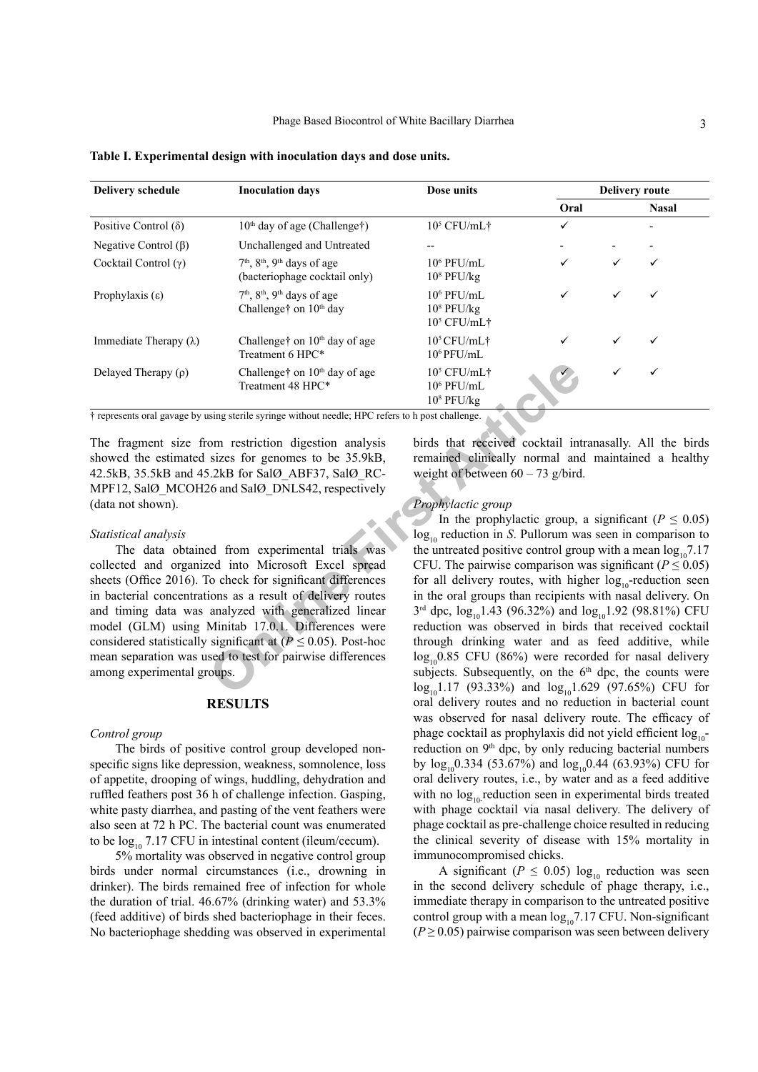| <b>Delivery schedule</b>      | <b>Inoculation days</b>                                                   | Dose units                                       | <b>Delivery route</b> |   |              |
|-------------------------------|---------------------------------------------------------------------------|--------------------------------------------------|-----------------------|---|--------------|
|                               |                                                                           |                                                  | Oral                  |   | <b>Nasal</b> |
| Positive Control $(\delta)$   | $10th$ day of age (Challenge†)                                            | $10^5$ CFU/mL†                                   | ✓                     |   |              |
| Negative Control $(\beta)$    | Unchallenged and Untreated                                                |                                                  |                       |   |              |
| Cocktail Control $(\gamma)$   | $7th$ , $8th$ , $9th$ days of age<br>(bacteriophage cocktail only)        | $10^6$ PFU/mL<br>$10^8$ PFU/kg                   |                       |   |              |
| Prophylaxis $(\epsilon)$      | $7th$ , $8th$ , $9th$ days of age<br>Challenge <sup>†</sup> on $10th$ day | $10^6$ PFU/mL<br>$10^8$ PFU/kg<br>$10^5$ CFU/mL† |                       |   |              |
| Immediate Therapy $(\lambda)$ | Challenget on $10th$ day of age<br>Treatment 6 HPC*                       | $10^5$ CFU/mL <sup>+</sup><br>$10^6$ PFU/mL      |                       | ✓ | ✓            |
| Delayed Therapy $(\rho)$      | Challenget on $10th$ day of age<br>Treatment 48 HPC*                      | $10^5$ CFU/mL†<br>$10^6$ PFU/mL<br>$108$ PFU/kg  |                       | ✓ | ✓            |

<span id="page-2-0"></span>**Table I. Experimental design with inoculation days and dose units.**

† represents oral gavage by using sterile syringe without needle; HPC refers to h post challenge.

The fragment size from restriction digestion analysis showed the estimated sizes for genomes to be 35.9kB, 42.5kB, 35.5kB and 45.2kB for SalØ\_ABF37, SalØ\_RC-MPF12, SalØ\_MCOH26 and SalØ\_DNLS42, respectively (data not shown).

#### *Statistical analysis*

The data obtained from experimental trials was collected and organized into Microsoft Excel spread sheets (Office 2016). To check for significant differences in bacterial concentrations as a result of delivery routes and timing data was analyzed with generalized linear model (GLM) using Minitab 17.0.1. Differences were considered statistically significant at  $(P \le 0.05)$ . Post-hoc mean separation was used to test for pairwise differences among experimental groups.

## **RESULTS**

#### *Control group*

The birds of positive control group developed nonspecific signs like depression, weakness, somnolence, loss of appetite, drooping of wings, huddling, dehydration and ruffled feathers post 36 h of challenge infection. Gasping, white pasty diarrhea, and pasting of the vent feathers were also seen at 72 h PC. The bacterial count was enumerated to be  $log_{10} 7.17$  CFU in intestinal content (ileum/cecum).

5% mortality was observed in negative control group birds under normal circumstances (i.e., drowning in drinker). The birds remained free of infection for whole the duration of trial. 46.67% (drinking water) and 53.3% (feed additive) of birds shed bacteriophage in their feces. No bacteriophage shedding was observed in experimental

birds that received cocktail intranasally. All the birds remained clinically normal and maintained a healthy weight of between  $60 - 73$  g/bird.

#### *Prophylactic group*

Challenge† on 10<sup>th</sup> day of age<br>
Treatment 48 HPC\*<br>
To <sup>0</sup> PFU/mL<br>
10<sup>6</sup> PFU/mL<br>
10<sup>6</sup> PFU/kg<br>
sing sterile syringe without needle; HPC refers to h post challenge.<br>
Oom restriction digestion analysis<br>
Sirds that received In the prophylactic group, a significant ( $P \leq 0.05$ )  $log_{10}$  reduction in *S*. Pullorum was seen in comparison to the untreated positive control group with a mean  $log_{10}7.17$ CFU. The pairwise comparison was significant ( $P \leq 0.05$ ) for all delivery routes, with higher  $log_{10}$ -reduction seen in the oral groups than recipients with nasal delivery. On  $3<sup>rd</sup>$  dpc,  $log_{10}1.43$  (96.32%) and  $log_{10}1.92$  (98.81%) CFU reduction was observed in birds that received cocktail through drinking water and as feed additive, while  $log_{10}0.85$  CFU (86%) were recorded for nasal delivery subjects. Subsequently, on the  $6<sup>th</sup>$  dpc, the counts were  $log_{10}1.17$  (93.33%) and  $log_{10}1.629$  (97.65%) CFU for oral delivery routes and no reduction in bacterial count was observed for nasal delivery route. The efficacy of phage cocktail as prophylaxis did not yield efficient log<sub>10</sub>reduction on 9<sup>th</sup> dpc, by only reducing bacterial numbers by  $\log_{10} 0.334$  (53.67%) and  $\log_{10} 0.44$  (63.93%) CFU for oral delivery routes, i.e., by water and as a feed additive with no  $log_{10}$  reduction seen in experimental birds treated with phage cocktail via nasal delivery. The delivery of phage cocktail as pre-challenge choice resulted in reducing the clinical severity of disease with 15% mortality in immunocompromised chicks.

> A significant ( $P \le 0.05$ ) log<sub>10</sub> reduction was seen in the second delivery schedule of phage therapy, i.e., immediate therapy in comparison to the untreated positive control group with a mean  $log_{10}7.17$  CFU. Non-significant  $(P \ge 0.05)$  pairwise comparison was seen between delivery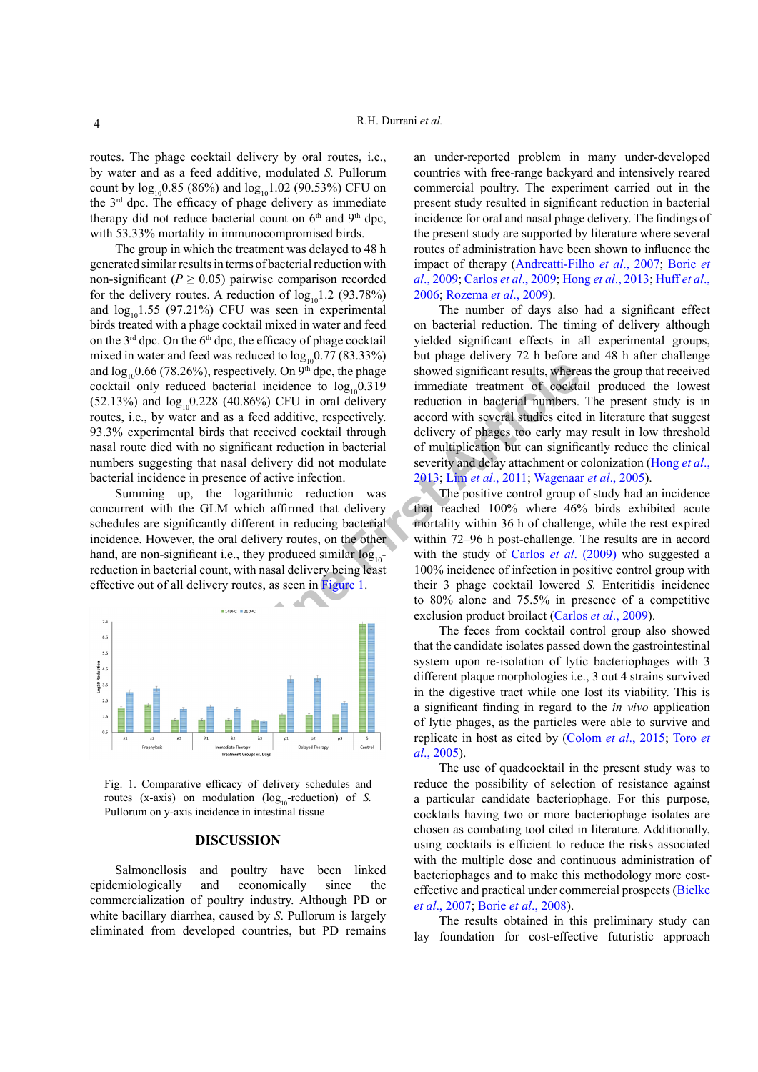routes. The phage cocktail delivery by oral routes, i.e., by water and as a feed additive, modulated *S.* Pullorum count by  $log_{10}0.85$  (86%) and  $log_{10}1.02$  (90.53%) CFU on the 3rd dpc. The efficacy of phage delivery as immediate therapy did not reduce bacterial count on  $6<sup>th</sup>$  and  $9<sup>th</sup>$  dpc, with 53.33% mortality in immunocompromised birds.

The group in which the treatment was delayed to 48 h generated similar results in terms of bacterial reduction with non-significant ( $P \ge 0.05$ ) pairwise comparison recorded for the delivery routes. A reduction of  $log_{10}1.2$  (93.78%) and  $log_{10}1.55$  (97.21%) CFU was seen in experimental birds treated with a phage cocktail mixed in water and feed on the 3<sup>rd</sup> dpc. On the 6<sup>th</sup> dpc, the efficacy of phage cocktail mixed in water and feed was reduced to  $log_{10} 0.77 (83.33%)$ and  $\log_{10} 0.66$  (78.26%), respectively. On 9<sup>th</sup> dpc, the phage cocktail only reduced bacterial incidence to  $log_{10}0.319$  $(52.13%)$  and  $log_{10}0.228$  (40.86%) CFU in oral delivery routes, i.e., by water and as a feed additive, respectively. 93.3% experimental birds that received cocktail through nasal route died with no significant reduction in bacterial numbers suggesting that nasal delivery did not modulate bacterial incidence in presence of active infection.

Summing up, the logarithmic reduction was concurrent with the GLM which affirmed that delivery schedules are significantly different in reducing bacterial incidence. However, the oral delivery routes, on the other hand, are non-significant i.e., they produced similar  $log_{10}$ reduction in bacterial count, with nasal delivery being least effective out of all delivery routes, as seen in Figure 1.



<span id="page-3-0"></span>Fig. 1. Comparative efficacy of delivery schedules and routes (x-axis) on modulation ( $log_{10}$ -reduction) of *S*. Pullorum on y-axis incidence in intestinal tissue

#### **DISCUSSION**

Salmonellosis and poultry have been linked epidemiologically and economically since the commercialization of poultry industry. Although PD or white bacillary diarrhea, caused by *S*. Pullorum is largely eliminated from developed countries, but PD remains

an under-reported problem in many under-developed countries with free-range backyard and intensively reared commercial poultry. The experiment carried out in the present study resulted in significant reduction in bacterial incidence for oral and nasal phage delivery. The findings of the present study are supported by literature where several routes of administration have been shown to influence the impact of therapy [\(Andreatti-Filho](#page-4-4) *et al*., 2007; Borie *et al*., 2009; [Carlos](#page-4-5) *et al*., 2009; Hong *et al*[., 2013](#page-5-4); [Huff](#page-5-5) *et al*., [2006](#page-5-5); [Rozema](#page-5-6) *et al*., 2009).

The number of days also had a significant effect on bacterial reduction. The timing of delivery although yielded significant effects in all experimental groups, but phage delivery 72 h before and 48 h after challenge showed significant results, whereas the group that received immediate treatment of cocktail produced the lowest reduction in bacterial numbers. The present study is in accord with several studies cited in literature that suggest delivery of phages too early may result in low threshold of multiplication but can significantly reduce the clinical severity and delay attachment or colonization ([Hong](#page-5-4) *et al*., 2013; Lim *et al*., 2011; Wagenaar *et al*., 2005).

**Example 1**, in expec[t](#page-5-4)ively. On  $9^{\text{th}}$  dpc, the phage showed significant results, where bacterial incidence to  $\log_{10}(3.19)$  immediate treatment of cockta as a feed additiver, respectively. accord with several studies The positive control group of study had an incidence that reached 100% where 46% birds exhibited acute mortality within 36 h of challenge, while the rest expired within 72–96 h post-challenge. The results are in accord with the study of Carlos *et al*. (2009) who suggested a 100% incidence of infection in positive control group with their 3 phage cocktail lowered *S.* Enteritidis incidence to 80% alone and 75.5% in presence of a competitive exclusion product broilact (Carlos *et al*., 2009).

The feces from cocktail control group also showed that the candidate isolates passed down the gastrointestinal system upon re-isolation of lytic bacteriophages with 3 different plaque morphologies i.e., 3 out 4 strains survived in the digestive tract while one lost its viability. This is a significant finding in regard to the *in vivo* application of lytic phages, as the particles were able to survive and replicate in host as cited by (Colom *et al*., 2015; [Toro](#page-5-9) *et al*[., 2005](#page-5-9)).

The use of quadcocktail in the present study was to reduce the possibility of selection of resistance against a particular candidate bacteriophage. For this purpose, cocktails having two or more bacteriophage isolates are chosen as combating tool cited in literature. Additionally, using cocktails is efficient to reduce the risks associated with the multiple dose and continuous administration of bacteriophages and to make this methodology more costeffective and practical under commercial prospects ([Bielke](#page-4-6)  *et al*[., 2007](#page-4-6); Borie *et al*., 2008).

The results obtained in this preliminary study can lay foundation for cost-effective futuristic approach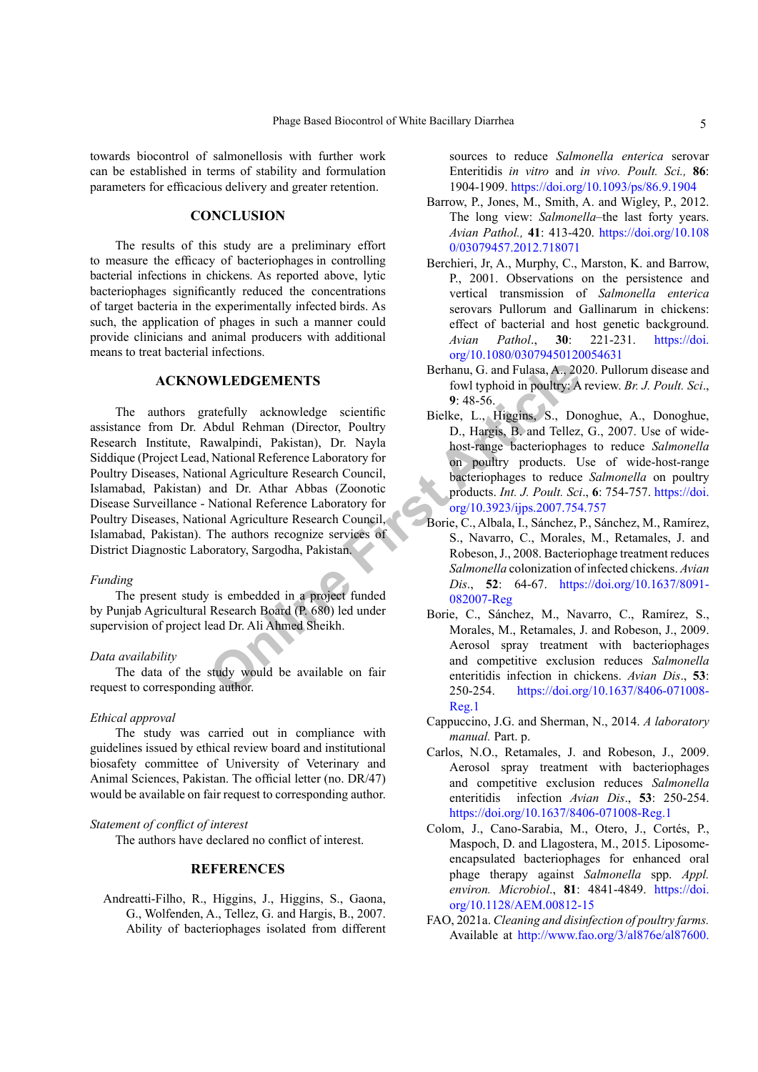towards biocontrol of salmonellosis with further work can be established in terms of stability and formulation parameters for efficacious delivery and greater retention.

## **CONCLUSION**

The results of this study are a preliminary effort to measure the efficacy of bacteriophages in controlling bacterial infections in chickens. As reported above, lytic bacteriophages significantly reduced the concentrations of target bacteria in the experimentally infected birds. As such, the application of phages in such a manner could provide clinicians and animal producers with additional means to treat bacterial infections.

## **ACKNOWLEDGEMENTS**

**WLEDGEMENTS**<br> **Berhanu**, G. and Fulasa, A., 20<br>
fow typhoid in poultry: A<br>
atefully acknowledge scientific<br>
Bielke, L., Higgins, S., Do<br>
Abdul Rehman (Director, Poultry<br>
D., Hargis, B. and Tellez,<br>
Axtional Reference Labo The authors gratefully acknowledge scientific assistance from Dr. Abdul Rehman (Director, Poultry Research Institute, Rawalpindi, Pakistan), Dr. Nayla Siddique (Project Lead, National Reference Laboratory for Poultry Diseases, National Agriculture Research Council, Islamabad, Pakistan) and Dr. Athar Abbas (Zoonotic Disease Surveillance - National Reference Laboratory for Poultry Diseases, National Agriculture Research Council, Islamabad, Pakistan). The authors recognize services of District Diagnostic Laboratory, Sargodha, Pakistan.

## *Funding*

The present study is embedded in a project funded by Punjab Agricultural Research Board (P. 680) led under supervision of project lead Dr. Ali Ahmed Sheikh.

## *Data availability*

The data of the study would be available on fair request to corresponding author.

#### *Ethical approval*

The study was carried out in compliance with guidelines issued by ethical review board and institutional biosafety committee of University of Veterinary and Animal Sciences, Pakistan. The official letter (no. DR/47) would be available on fair request to corresponding author.

## *Statement of conflict of interest*

The authors have declared no conflict of interest.

## **REFERENCES**

<span id="page-4-4"></span>Andreatti-Filho, R., Higgins, J., Higgins, S., Gaona, G., Wolfenden, A., Tellez, G. and Hargis, B., 2007. Ability of bacteriophages isolated from different sources to reduce *Salmonella enterica* serovar Enteritidis *in vitro* and *in vivo. Poult. Sci.,* **86**: 1904-1909. <https://doi.org/10.1093/ps/86.9.1904>

- <span id="page-4-1"></span>Barrow, P., Jones, M., Smith, A. and Wigley, P., 2012. The long view: *Salmonella*–the last forty years. *Avian Pathol.,* **41**: 413-420. [https://doi.org/10.108](https://doi.org/10.1080/03079457.2012.718071) [0/03079457.2012.718071](https://doi.org/10.1080/03079457.2012.718071)
- <span id="page-4-2"></span>Berchieri, Jr, A., Murphy, C., Marston, K. and Barrow, P., 2001. Observations on the persistence and vertical transmission of *Salmonella enterica* serovars Pullorum and Gallinarum in chickens: effect of bacterial and host genetic background. *Avian Pathol*., **30**: 221-231. [https://doi.](https://doi.org/10.1080/03079450120054631) [org/10.1080/03079450120054631](https://doi.org/10.1080/03079450120054631)
- <span id="page-4-0"></span>Berhanu, G. and Fulasa, A., 2020. Pullorum disease and fowl typhoid in poultry: A review. *Br. J. Poult. Sci*., **9**: 48-56.
- <span id="page-4-6"></span>Bielke, L., Higgins, S., Donoghue, A., Donoghue, D., Hargis, B. and Tellez, G., 2007. Use of widehost-range bacteriophages to reduce *Salmonella*  on poultry products. Use of wide-host-range bacteriophages to reduce *Salmonella* on poultry products. *Int. J. Poult. Sci*., **6**: 754-757. [https://doi.](https://doi.org/10.3923/ijps.2007.754.757) org/10.3923/ijps.2007.754.757
- <span id="page-4-5"></span><span id="page-4-3"></span>Borie, C., Albala, I., Sánchez, P., Sánchez, M., Ramírez, S., Navarro, C., Morales, M., Retamales, J. and Robeson, J., 2008. Bacteriophage treatment reduces *Salmonella* colonization of infected chickens. *Avian Dis*., **52**: 64-67. [https://doi.org/10.1637/8091-](https://doi.org/10.1637/8091-082007-Reg) 082007-Reg
	- Borie, C., Sánchez, M., Navarro, C., Ramírez, S., Morales, M., Retamales, J. and Robeson, J., 2009. Aerosol spray treatment with bacteriophages and competitive exclusion reduces *Salmonella*  enteritidis infection in chickens. *Avian Dis*., **53**: 250-254. [https://doi.org/10.1637/8406-071008-](https://doi.org/10.1637/8406-071008-Reg.1) [Reg.1](https://doi.org/10.1637/8406-071008-Reg.1)
	- Cappuccino, J.G. and Sherman, N., 2014. *A laboratory manual.* Part. p.
	- Carlos, N.O., Retamales, J. and Robeson, J., 2009. Aerosol spray treatment with bacteriophages and competitive exclusion reduces *Salmonella*  enteritidis infection *Avian Dis*., **53**: 250-254. <https://doi.org/10.1637/8406-071008-Reg.1>
	- Colom, J., Cano-Sarabia, M., Otero, J., Cortés, P., Maspoch, D. and Llagostera, M., 2015. Liposomeencapsulated bacteriophages for enhanced oral phage therapy against *Salmonella* spp. *Appl. environ. Microbiol*., **81**: 4841-4849. [https://doi.](https://doi.org/10.1128/AEM.00812-15) [org/10.1128/AEM.00812-15](https://doi.org/10.1128/AEM.00812-15)
	- FAO, 2021a. *Cleaning and disinfection of poultry farms.* Available at [http://www.fao.org/3/al876e/al87600.](http://www.fao.org/3/al876e/al87600.pdf)